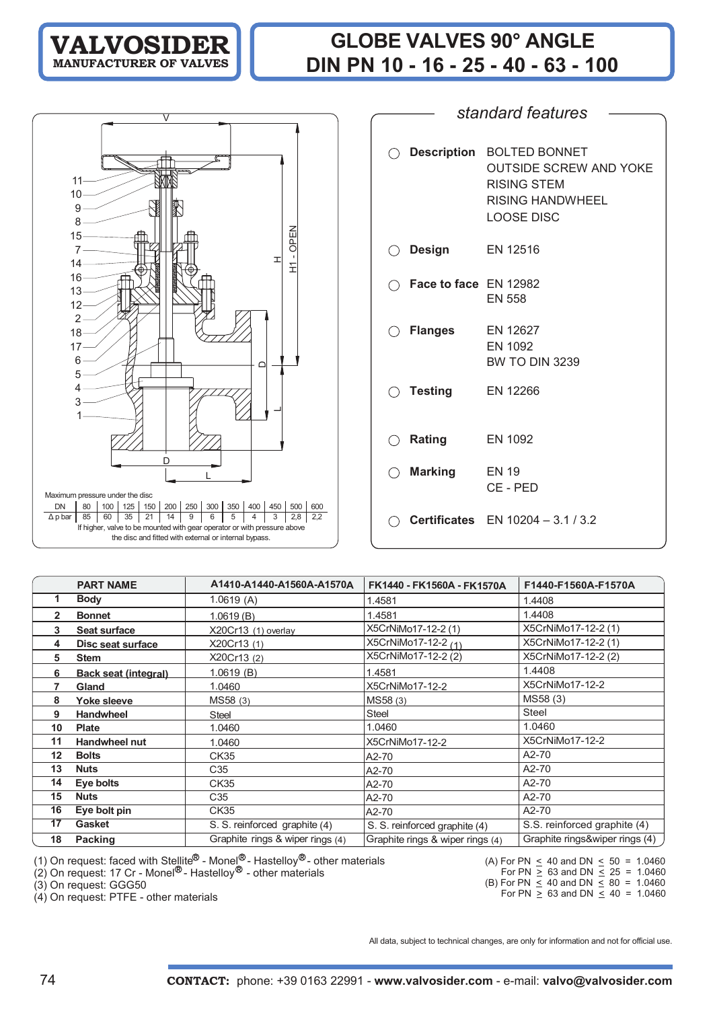# **GLOBE VALVES 90° ANGLE DIN PN 10 - 16 - 25 - 40 - 63 - 100**

12 3 1 2 18 17 6 5 4 10 9 8 15 7 14 16 13 D $\overline{D}$ L  $\overline{\phantom{0}}$ - OPEN  $\Xi$ HMaximum pressure under the disc DN | 80 | 100 | 125 | 150 | 200 | 250 | 300 | 350 | 400 | 450 | 500 | 600 Δpbar| 85 | 60 | 35 | 21 | 14 | 9 | 6 | 5 | 4 | 3 | 2,8 | 2,2 If higher, valve to be mounted with gear operator or with pressure above the disc and fitted with external or internal bypass.

V

**VALVOSIDER MANUFACTURER OF VALVES**

11

|                                                              | O Description BOLTED BONNET<br><b>OUTSIDE SCREW AND YOKE</b><br><b>RISING STEM</b><br>RISING HANDWHEEL<br><b>LOOSE DISC</b> |
|--------------------------------------------------------------|-----------------------------------------------------------------------------------------------------------------------------|
| $\bigcirc$ Design                                            | EN 12516                                                                                                                    |
| $\bigcirc$ Face to face EN 12982                             | <b>EN 558</b>                                                                                                               |
| ◯ Flanges                                                    | EN 12627<br>EN 1092<br><b>BW TO DIN 3239</b>                                                                                |
| $\bigcirc$ Testing                                           | EN 12266                                                                                                                    |
| <b>Rating</b><br>$\left(\begin{array}{c} \end{array}\right)$ | EN 1092                                                                                                                     |
| <b>Marking</b>                                               | <b>EN 19</b><br>CE - PED                                                                                                    |
|                                                              | <b>Certificates</b> EN 10204 - 3.1 / 3.2                                                                                    |

*standard features*

|              | <b>PART NAME</b>            | A1410-A1440-A1560A-A1570A        | FK1440 - FK1560A - FK1570A       | F1440-F1560A-F1570A              |
|--------------|-----------------------------|----------------------------------|----------------------------------|----------------------------------|
|              | <b>Body</b>                 | 1.0619(A)                        | 1.4581                           | 1.4408                           |
| $\mathbf{2}$ | <b>Bonnet</b>               | 1.0619(B)                        | 1.4581                           | 1.4408                           |
| 3            | Seat surface                | X20Cr13 (1) overlay              | X5CrNiMo17-12-2 (1)              | X5CrNiMo17-12-2 (1)              |
| 4            | Disc seat surface           | X20Cr13 (1)                      | X5CrNiMo17-12-2 <sub>(1)</sub>   | X5CrNiMo17-12-2 (1)              |
| 5            | <b>Stem</b>                 | X20Cr13 (2)                      | X5CrNiMo17-12-2 (2)              | X5CrNiMo17-12-2 (2)              |
| 6            | <b>Back seat (integral)</b> | 1.0619(B)                        | 1.4581                           | 1.4408                           |
|              | Gland                       | 1.0460                           | X5CrNiMo17-12-2                  | X5CrNiMo17-12-2                  |
| 8            | Yoke sleeve                 | MS58 (3)                         | MS58 (3)                         | MS58 (3)                         |
| 9            | <b>Handwheel</b>            | <b>Steel</b>                     | Steel                            | Steel                            |
| 10           | <b>Plate</b>                | 1.0460                           | 1.0460                           | 1.0460                           |
| 11           | Handwheel nut               | 1.0460                           | X5CrNiMo17-12-2                  | X5CrNiMo17-12-2                  |
| 12           | <b>Bolts</b>                | CK35                             | A2-70                            | A2-70                            |
| 13           | <b>Nuts</b>                 | C35                              | A2-70                            | A2-70                            |
| 14           | Eye bolts                   | CK35                             | A2-70                            | A2-70                            |
| 15           | <b>Nuts</b>                 | C35                              | A2-70                            | A2-70                            |
| 16           | Eye bolt pin                | CK35                             | A2-70                            | A2-70                            |
| 17           | Gasket                      | S. S. reinforced graphite (4)    | S. S. reinforced graphite (4)    | S.S. reinforced graphite (4)     |
| 18           | <b>Packing</b>              | Graphite rings & wiper rings (4) | Graphite rings & wiper rings (4) | Graphite rings&wiper rings (4) / |

(1) On request: faced with Stellite<sup>ry</sup> - Monel<sup>ry</sup> - Hastelloy<sup>ry</sup> - other materials

(2) On request: 17 Cr - Monel<sup>ov</sup> - Hastelloy<sup>ov</sup> - other materials

(3) On request: GGG50

(4) On request: PTFE - other materials

(A) For PN  $\leq$  40 and DN  $\leq$  50 = 1.0460 For PN  $\geq 63$  and DN  $\leq 25$  = <u>></u> 63 and DN <u><</u> 1.0460

(B) For PN  $\leq$  40 and DN  $\leq$  80 =  $\leq$  40 and DN  $\leq$ 1.0460

For PN  $\geq$  63 and DN  $\leq$  40 =  $\geq 63$  and DN  $\leq$ 1.0460

All data, subject to technical changes, are only for information and not for official use.